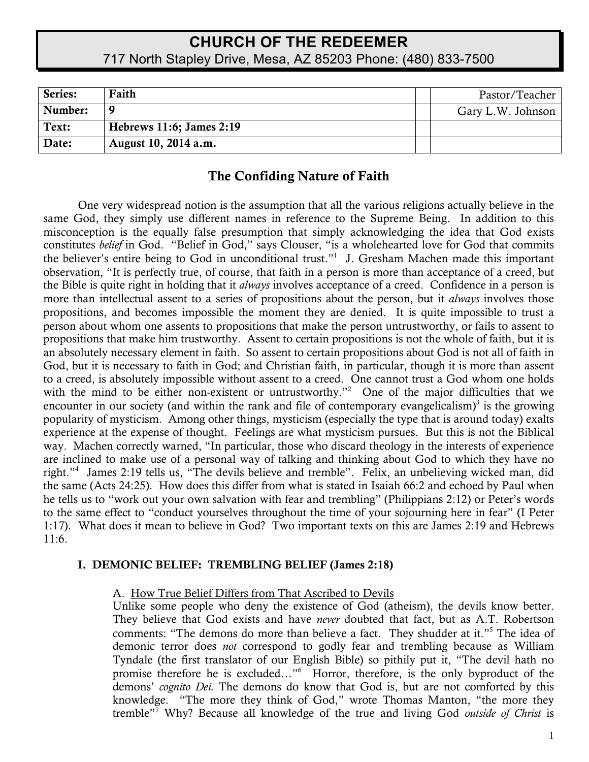# **CHURCH OF THE REDEEMER** 717 North Stapley Drive, Mesa, AZ 85203 Phone: (480) 833-7500

| Series: | Faith                    | Pastor/Teacher    |
|---------|--------------------------|-------------------|
| Number: | q                        | Gary L.W. Johnson |
| Text:   | Hebrews 11:6; James 2:19 |                   |
| Date:   | August 10, 2014 a.m.     |                   |

## The Confiding Nature of Faith

One very widespread notion is the assumption that all the various religions actually believe in the same God, they simply use different names in reference to the Supreme Being. In addition to this misconception is the equally false presumption that simply acknowledging the idea that God exists constitutes *belief* in God. "Belief in God," says Clouser, "is a wholehearted love for God that commits the believer's entire being to God in unconditional trust."<sup>1</sup> J. Gresham Machen made this important observation, "It is perfectly true, of course, that faith in a person is more than acceptance of a creed, but the Bible is quite right in holding that it *always* involves acceptance of a creed. Confidence in a person is more than intellectual assent to a series of propositions about the person, but it *always* involves those propositions, and becomes impossible the moment they are denied. It is quite impossible to trust a person about whom one assents to propositions that make the person untrustworthy, or fails to assent to propositions that make him trustworthy. Assent to certain propositions is not the whole of faith, but it is an absolutely necessary element in faith. So assent to certain propositions about God is not all of faith in God, but it is necessary to faith in God; and Christian faith, in particular, though it is more than assent to a creed, is absolutely impossible without assent to a creed. One cannot trust a God whom one holds with the mind to be either non-existent or untrustworthy."<sup>2</sup> One of the major difficulties that we encounter in our society (and within the rank and file of contemporary evangelicalism)<sup>3</sup> is the growing popularity of mysticism. Among other things, mysticism (especially the type that is around today) exalts experience at the expense of thought. Feelings are what mysticism pursues. But this is not the Biblical way. Machen correctly warned, "In particular, those who discard theology in the interests of experience are inclined to make use of a personal way of talking and thinking about God to which they have no right."4 James 2:19 tells us, "The devils believe and tremble". Felix, an unbelieving wicked man, did the same (Acts 24:25). How does this differ from what is stated in Isaiah 66:2 and echoed by Paul when he tells us to "work out your own salvation with fear and trembling" (Philippians 2:12) or Peter's words to the same effect to "conduct yourselves throughout the time of your sojourning here in fear" (I Peter 1:17). What does it mean to believe in God? Two important texts on this are James 2:19 and Hebrews 11:6.

#### I. DEMONIC BELIEF: TREMBLING BELIEF (James 2:18)

A. How True Belief Differs from That Ascribed to Devils

Unlike some people who deny the existence of God (atheism), the devils know better. They believe that God exists and have *never* doubted that fact, but as A.T. Robertson comments: "The demons do more than believe a fact. They shudder at it."<sup>5</sup> The idea of demonic terror does *not* correspond to godly fear and trembling because as William Tyndale (the first translator of our English Bible) so pithily put it, "The devil hath no promise therefore he is excluded..."<sup>6</sup> Horror, therefore, is the only byproduct of the demons' *cognito Dei.* The demons do know that God is, but are not comforted by this knowledge. "The more they think of God," wrote Thomas Manton, "the more they tremble"7 Why? Because all knowledge of the true and living God *outside of Christ* is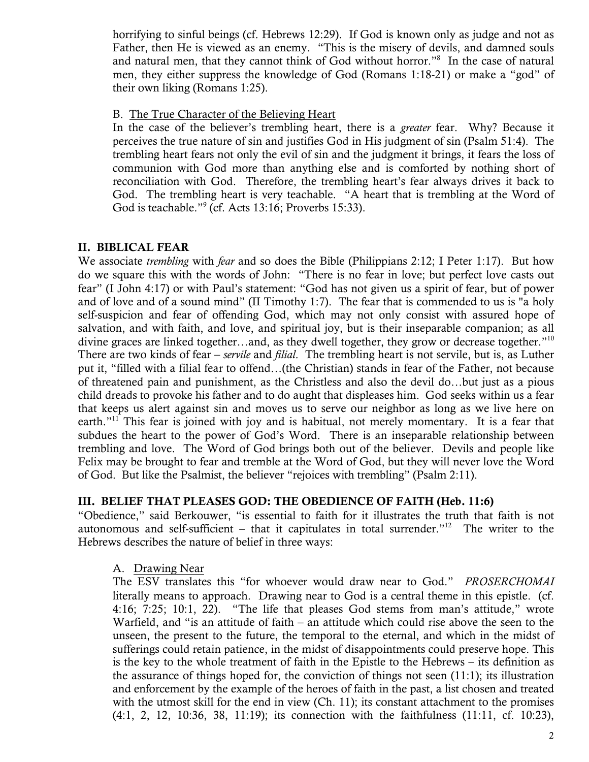horrifying to sinful beings (cf. Hebrews 12:29). If God is known only as judge and not as Father, then He is viewed as an enemy. "This is the misery of devils, and damned souls and natural men, that they cannot think of God without horror."<sup>8</sup> In the case of natural men, they either suppress the knowledge of God (Romans 1:18-21) or make a "god" of their own liking (Romans 1:25).

#### B. The True Character of the Believing Heart

In the case of the believer's trembling heart, there is a *greater* fear. Why? Because it perceives the true nature of sin and justifies God in His judgment of sin (Psalm 51:4). The trembling heart fears not only the evil of sin and the judgment it brings, it fears the loss of communion with God more than anything else and is comforted by nothing short of reconciliation with God. Therefore, the trembling heart's fear always drives it back to God. The trembling heart is very teachable. "A heart that is trembling at the Word of God is teachable."<sup>9</sup> (cf. Acts 13:16; Proverbs 15:33).

### II. BIBLICAL FEAR

We associate *trembling* with *fear* and so does the Bible (Philippians 2:12; I Peter 1:17). But how do we square this with the words of John: "There is no fear in love; but perfect love casts out fear" (I John 4:17) or with Paul's statement: "God has not given us a spirit of fear, but of power and of love and of a sound mind" (II Timothy 1:7). The fear that is commended to us is "a holy self-suspicion and fear of offending God, which may not only consist with assured hope of salvation, and with faith, and love, and spiritual joy, but is their inseparable companion; as all divine graces are linked together...and, as they dwell together, they grow or decrease together."<sup>10</sup> There are two kinds of fear – *servile* and *filial*. The trembling heart is not servile, but is, as Luther put it, "filled with a filial fear to offend…(the Christian) stands in fear of the Father, not because of threatened pain and punishment, as the Christless and also the devil do…but just as a pious child dreads to provoke his father and to do aught that displeases him. God seeks within us a fear that keeps us alert against sin and moves us to serve our neighbor as long as we live here on earth."<sup>11</sup> This fear is joined with joy and is habitual, not merely momentary. It is a fear that subdues the heart to the power of God's Word. There is an inseparable relationship between trembling and love. The Word of God brings both out of the believer. Devils and people like Felix may be brought to fear and tremble at the Word of God, but they will never love the Word of God. But like the Psalmist, the believer "rejoices with trembling" (Psalm 2:11).

#### III. BELIEF THAT PLEASES GOD: THE OBEDIENCE OF FAITH (Heb. 11:6)

"Obedience," said Berkouwer, "is essential to faith for it illustrates the truth that faith is not autonomous and self-sufficient – that it capitulates in total surrender."<sup>12</sup> The writer to the Hebrews describes the nature of belief in three ways:

#### A. Drawing Near

The ESV translates this "for whoever would draw near to God." *PROSERCHOMAI*  literally means to approach. Drawing near to God is a central theme in this epistle. (cf. 4:16; 7:25; 10:1, 22). "The life that pleases God stems from man's attitude," wrote Warfield, and "is an attitude of faith – an attitude which could rise above the seen to the unseen, the present to the future, the temporal to the eternal, and which in the midst of sufferings could retain patience, in the midst of disappointments could preserve hope. This is the key to the whole treatment of faith in the Epistle to the Hebrews – its definition as the assurance of things hoped for, the conviction of things not seen (11:1); its illustration and enforcement by the example of the heroes of faith in the past, a list chosen and treated with the utmost skill for the end in view (Ch. 11); its constant attachment to the promises (4:1, 2, 12, 10:36, 38, 11:19); its connection with the faithfulness (11:11, cf. 10:23),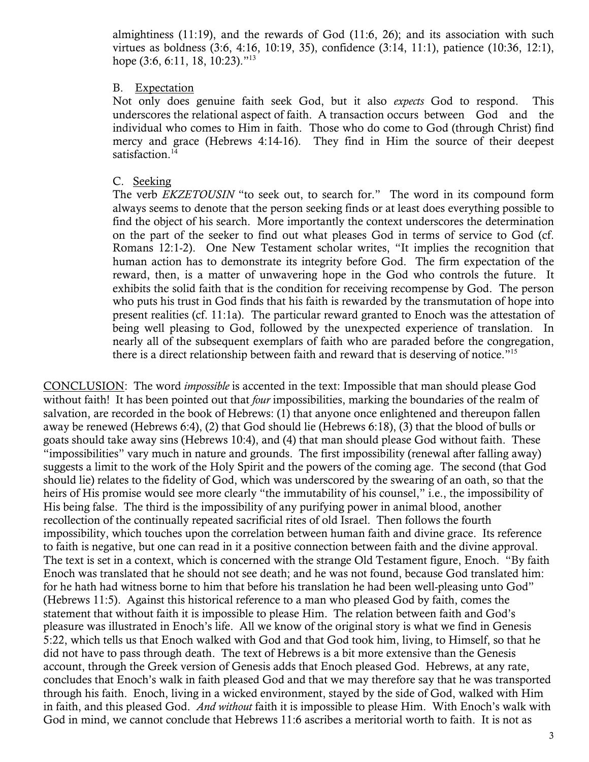almightiness (11:19), and the rewards of God (11:6, 26); and its association with such virtues as boldness (3:6, 4:16, 10:19, 35), confidence (3:14, 11:1), patience (10:36, 12:1), hope (3:6, 6:11, 18, 10:23)."<sup>13</sup>

#### B. Expectation

Not only does genuine faith seek God, but it also *expects* God to respond. This underscores the relational aspect of faith. A transaction occurs between God and the individual who comes to Him in faith. Those who do come to God (through Christ) find mercy and grace (Hebrews 4:14-16). They find in Him the source of their deepest satisfaction.<sup>14</sup>

#### C. Seeking

The verb *EKZETOUSIN* "to seek out, to search for." The word in its compound form always seems to denote that the person seeking finds or at least does everything possible to find the object of his search. More importantly the context underscores the determination on the part of the seeker to find out what pleases God in terms of service to God (cf. Romans 12:1-2). One New Testament scholar writes, "It implies the recognition that human action has to demonstrate its integrity before God. The firm expectation of the reward, then, is a matter of unwavering hope in the God who controls the future. It exhibits the solid faith that is the condition for receiving recompense by God. The person who puts his trust in God finds that his faith is rewarded by the transmutation of hope into present realities (cf. 11:1a). The particular reward granted to Enoch was the attestation of being well pleasing to God, followed by the unexpected experience of translation. In nearly all of the subsequent exemplars of faith who are paraded before the congregation, there is a direct relationship between faith and reward that is deserving of notice."<sup>15</sup>

CONCLUSION: The word *impossible* is accented in the text: Impossible that man should please God without faith! It has been pointed out that *four* impossibilities, marking the boundaries of the realm of salvation, are recorded in the book of Hebrews: (1) that anyone once enlightened and thereupon fallen away be renewed (Hebrews 6:4), (2) that God should lie (Hebrews 6:18), (3) that the blood of bulls or goats should take away sins (Hebrews 10:4), and (4) that man should please God without faith. These "impossibilities" vary much in nature and grounds. The first impossibility (renewal after falling away) suggests a limit to the work of the Holy Spirit and the powers of the coming age. The second (that God should lie) relates to the fidelity of God, which was underscored by the swearing of an oath, so that the heirs of His promise would see more clearly "the immutability of his counsel," i.e., the impossibility of His being false. The third is the impossibility of any purifying power in animal blood, another recollection of the continually repeated sacrificial rites of old Israel. Then follows the fourth impossibility, which touches upon the correlation between human faith and divine grace. Its reference to faith is negative, but one can read in it a positive connection between faith and the divine approval. The text is set in a context, which is concerned with the strange Old Testament figure, Enoch. "By faith Enoch was translated that he should not see death; and he was not found, because God translated him: for he hath had witness borne to him that before his translation he had been well-pleasing unto God" (Hebrews 11:5). Against this historical reference to a man who pleased God by faith, comes the statement that without faith it is impossible to please Him. The relation between faith and God's pleasure was illustrated in Enoch's life. All we know of the original story is what we find in Genesis 5:22, which tells us that Enoch walked with God and that God took him, living, to Himself, so that he did not have to pass through death. The text of Hebrews is a bit more extensive than the Genesis account, through the Greek version of Genesis adds that Enoch pleased God. Hebrews, at any rate, concludes that Enoch's walk in faith pleased God and that we may therefore say that he was transported through his faith. Enoch, living in a wicked environment, stayed by the side of God, walked with Him in faith, and this pleased God. *And without* faith it is impossible to please Him. With Enoch's walk with God in mind, we cannot conclude that Hebrews 11:6 ascribes a meritorial worth to faith. It is not as